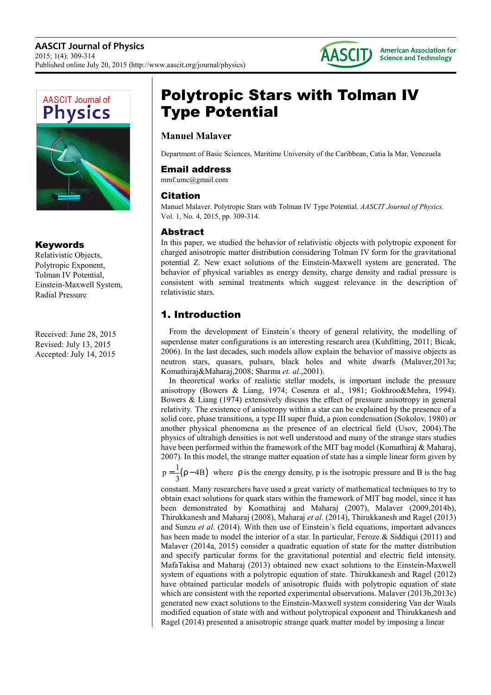



## Keywords

Relativistic Objects, Polytropic Exponent, Tolman IV Potential, Einstein-Maxwell System, Radial Pressure

Received: June 28, 2015 Revised: July 13, 2015 Accepted: July 14, 2015

# Polytropic Stars with Tolman IV Type Potential

# **Manuel Malaver**

Department of Basic Sciences, Maritime University of the Caribbean, Catia la Mar, Venezuela

## Email address

mmf.umc@gmail.com

## Citation

Manuel Malaver. Polytropic Stars with Tolman IV Type Potential. *AASCIT Journal of Physics.*  Vol. 1, No. 4, 2015, pp. 309-314.

## Abstract

In this paper, we studied the behavior of relativistic objects with polytropic exponent for charged anisotropic matter distribution considering Tolman IV form for the gravitational potential Z. New exact solutions of the Einstein-Maxwell system are generated. The behavior of physical variables as energy density, charge density and radial pressure is consistent with seminal treatments which suggest relevance in the description of relativistic stars.

# 1. Introduction

From the development of Einstein´s theory of general relativity, the modelling of superdense mater configurations is an interesting research area (Kuhfitting, 2011; Bicak, 2006). In the last decades, such models allow explain the behavior of massive objects as neutron stars, quasars, pulsars, black holes and white dwarfs (Malaver,2013a; Komathiraj&Maharaj,2008; Sharma *et. al*.,2001).

In theoretical works of realistic stellar models, is important include the pressure anisotropy (Bowers & Liang, 1974; Cosenza et al., 1981; Gokhroo&Mehra, 1994). Bowers & Liang (1974) extensively discuss the effect of pressure anisotropy in general relativity. The existence of anisotropy within a star can be explained by the presence of a solid core, phase transitions, a type III super fluid, a pion condensation (Sokolov, 1980) or another physical phenomena as the presence of an electrical field (Usov, 2004).The physics of ultrahigh densities is not well understood and many of the strange stars studies have been performed within the framework of the MIT bag model (Komathiraj & Maharaj, 2007). In this model, the strange matter equation of state has a simple linear form given by

 $p = \frac{1}{3}(\rho - 4B)$  where  $\rho$  is the energy density, p is the isotropic pressure and B is the bag

constant. Many researchers have used a great variety of mathematical techniques to try to obtain exact solutions for quark stars within the framework of MIT bag model, since it has been demonstrated by Komathiraj and Maharaj (2007), Malaver (2009,2014b), Thirukkanesh and Maharaj (2008), Maharaj *et al*. (2014), Thirukkanesh and Ragel (2013) and Sunzu *et al*. (2014). With then use of Einstein´s field equations, important advances has been made to model the interior of a star. In particular, Feroze & Siddiqui (2011) and Malaver (2014a, 2015) consider a quadratic equation of state for the matter distribution and specify particular forms for the gravitational potential and electric field intensity. MafaTakisa and Maharaj (2013) obtained new exact solutions to the Einstein-Maxwell system of equations with a polytropic equation of state. Thirukkanesh and Ragel (2012) have obtained particular models of anisotropic fluids with polytropic equation of state which are consistent with the reported experimental observations. Malaver (2013b,2013c) generated new exact solutions to the Einstein-Maxwell system considering Van der Waals modified equation of state with and without polytropical exponent and Thirukkanesh and Ragel (2014) presented a anisotropic strange quark matter model by imposing a linear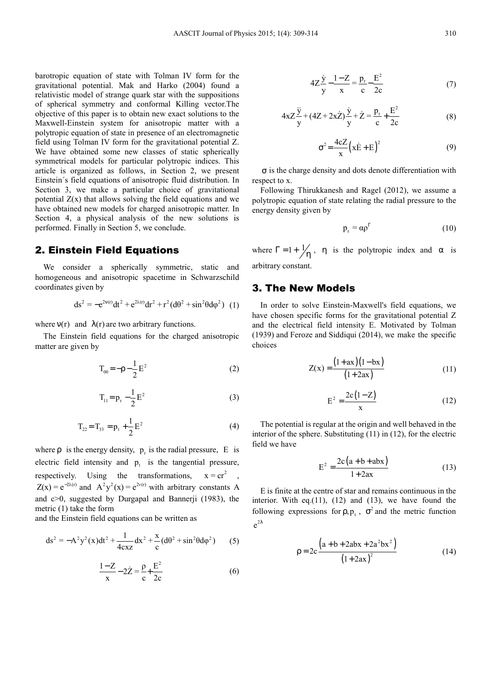barotropic equation of state with Tolman IV form for the gravitational potential. Mak and Harko (2004) found a relativistic model of strange quark star with the suppositions of spherical symmetry and conformal Killing vector.The objective of this paper is to obtain new exact solutions to the Maxwell-Einstein system for anisotropic matter with a polytropic equation of state in presence of an electromagnetic field using Tolman IV form for the gravitational potential Z. We have obtained some new classes of static spherically symmetrical models for particular polytropic indices. This article is organized as follows, in Section 2, we present Einstein´s field equations of anisotropic fluid distribution. In Section 3, we make a particular choice of gravitational potential  $Z(x)$  that allows solving the field equations and we have obtained new models for charged anisotropic matter. In Section 4, a physical analysis of the new solutions is performed. Finally in Section 5, we conclude.

#### 2. Einstein Field Equations

We consider a spherically symmetric, static and homogeneous and anisotropic spacetime in Schwarzschild coordinates given by

$$
ds^{2} = -e^{2v(r)}dt^{2} + e^{2\lambda(r)}dr^{2} + r^{2}(d\theta^{2} + \sin^{2}\theta d\phi^{2})
$$
 (1)

where  $v(r)$  and  $\lambda(r)$  are two arbitrary functions.

The Einstein field equations for the charged anisotropic matter are given by

$$
T_{00} = -\rho - \frac{1}{2}E^2
$$
 (2)

$$
T_{11} = p_r - \frac{1}{2} E^2
$$
 (3)

$$
T_{22} = T_{33} = p_t + \frac{1}{2}E^2
$$
 (4)

where  $\rho$  is the energy density,  $p_r$  is the radial pressure, E is electric field intensity and  $p_t$  is the tangential pressure, respectively. Using the transformations,  $x = cr^2$  $Z(x) = e^{-2\lambda(r)}$  and  $A^2y^2(x) = e^{2\nu(r)}$  with arbitrary constants A and c>0, suggested by Durgapal and Bannerji (1983), the metric (1) take the form

and the Einstein field equations can be written as

$$
ds^{2} = -A^{2}y^{2}(x)dt^{2} + \frac{1}{4cxz}dx^{2} + \frac{x}{c}(d\theta^{2} + \sin^{2}\theta d\phi^{2})
$$
 (5)

$$
\frac{1-Z}{x} - 2\dot{Z} = \frac{\rho}{c} + \frac{E^2}{2c}
$$
 (6)

$$
4Z\frac{\dot{y}}{y} - \frac{1-Z}{x} = \frac{p_r}{c} - \frac{E^2}{2c}
$$
 (7)

$$
4xZ\frac{\ddot{y}}{y} + (4Z + 2x\dot{Z})\frac{\dot{y}}{y} + \dot{Z} = \frac{p_t}{c} + \frac{E^2}{2c}
$$
 (8)

$$
\sigma^2 = \frac{4cZ}{x} \left( x\dot{E} + E \right)^2 \tag{9}
$$

σ is the charge density and dots denote differentiation with respect to x.

Following Thirukkanesh and Ragel (2012), we assume a polytropic equation of state relating the radial pressure to the energy density given by

$$
p_r = \alpha \rho^{\Gamma} \tag{10}
$$

where  $\Gamma = 1 + \frac{1}{\eta}$ ,  $\eta$  is the polytropic index and  $\alpha$  is arbitrary constant.

#### 3. The New Models

In order to solve Einstein-Maxwell's field equations, we have chosen specific forms for the gravitational potential Z and the electrical field intensity E. Motivated by Tolman (1939) and Feroze and Siddiqui (2014), we make the specific choices

$$
Z(x) = \frac{(1 + ax)(1 - bx)}{(1 + 2ax)}
$$
 (11)

$$
E^{2} = \frac{2c(1-Z)}{x}
$$
 (12)

The potential is regular at the origin and well behaved in the interior of the sphere. Substituting (11) in (12), for the electric field we have

$$
E^{2} = \frac{2c(a+b+abx)}{1+2ax}
$$
 (13)

E is finite at the centre of star and remains continuous in the interior. With eq. $(11)$ ,  $(12)$  and  $(13)$ , we have found the following expressions for  $\rho, p_t$ ,  $\sigma^2$  and the metric function  $e^{2\lambda}$ 

$$
\rho = 2c \frac{\left(a + b + 2abx + 2a^{2}bx^{2}\right)}{\left(1 + 2ax\right)^{2}}
$$
(14)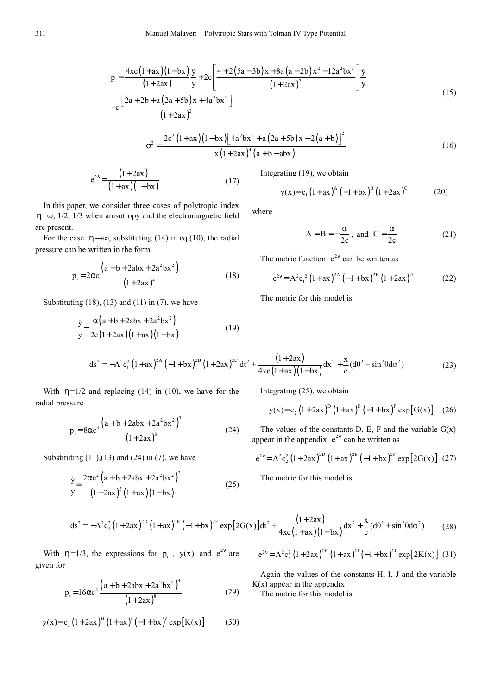$$
p_{t} = \frac{4xc(1+ax)(1-bx)}{(1+2ax)} \frac{\ddot{y}}{y} + 2c \left[ \frac{4+2(5a-3b)x+8a(a-2b)x^{2}-12a^{2}bx^{3}}{(1+2ax)^{2}} \right] \frac{\dot{y}}{y}
$$
  
-c  $\frac{[2a+2b+a(2a+5b)x+4a^{2}bx^{2}]}{(1+2ax)^{2}}$  (15)

$$
\sigma^{2} = \frac{2c^{2}(1+ax)(1-bx)\left[4a^{2}bx^{2} + a(2a+5b)x + 2(a+b)\right]^{2}}{x(1+2ax)^{4}(a+b+abx)}
$$
(16)

$$
e^{2\lambda} = \frac{(1+2ax)}{(1+ax)(1-bx)}
$$
 (17)

In this paper, we consider three cases of polytropic index η=∞, 1/2, 1/3 when anisotropy and the electromagnetic field are present.

For the case  $\eta \rightarrow \infty$ , substituting (14) in eq.(10), the radial pressure can be written in the form

$$
p_r = 2\alpha c \frac{\left(a + b + 2abx + 2a^2bx^2\right)}{\left(1 + 2ax\right)^2}
$$
 (18)

Substituting  $(18)$ ,  $(13)$  and  $(11)$  in  $(7)$ , we have

$$
\frac{\dot{y}}{y} = \frac{\alpha (a + b + 2abx + 2a^2bx^2)}{2c(1 + 2ax)(1 + ax)(1 - bx)}
$$
(19)

Integrating (19), we obtain

$$
y(x) = c_1 (1 + ax)^{A} (-1 + bx)^{B} (1 + 2ax)^{C}
$$
 (20)

where

$$
A = B = -\frac{\alpha}{2c}, \text{ and } C = \frac{\alpha}{2c}
$$
 (21)

The metric function  $e^{2v}$  can be written as

$$
e^{2v} = A^{2} c_1^{2} (1 + ax)^{2A} (-1 + bx)^{2B} (1 + 2ax)^{2C}
$$
 (22)

The metric for this model is

$$
ds^{2} = -A^{2}c_{1}^{2} (1 + ax)^{2A} (-1 + bx)^{2B} (1 + 2ax)^{2C} dt^{2} + \frac{(1 + 2ax)}{4xc(1 + ax)(1 - bx)} dx^{2} + \frac{x}{c} (d\theta^{2} + \sin^{2}\theta d\phi^{2})
$$
(23)

With  $\eta = 1/2$  and replacing (14) in (10), we have for the radial pressure

$$
p_r = 8\alpha c^3 \frac{\left(a + b + 2abx + 2a^2bx^2\right)^3}{\left(1 + 2ax\right)^6}
$$
 (24)

Substituting  $(11),(13)$  and  $(24)$  in  $(7)$ , we have

$$
\frac{\dot{y}}{y} = \frac{2\alpha c^2 \left(a + b + 2abx + 2a^2 bx^2\right)^3}{\left(1 + 2ax\right)^5 \left(1 + ax\right)\left(1 - bx\right)}
$$
(25)

Integrating 
$$
(25)
$$
, we obtain

$$
y(x)=c_2(1+2ax)^D(1+ax)^E(-1+bx)^F \exp[G(x)]
$$
 (26)

The values of the constants D, E, F and the variable  $G(x)$ appear in the appendix  $e^{2v}$  can be written as

$$
e^{2v} = A^{2} c_{2}^{2} (1 + 2ax)^{2D} (1 + ax)^{2E} (-1 + bx)^{2F} exp[2G(x)] (27)
$$

The metric for this model is

$$
ds^{2} = -A^{2}c_{2}^{2}(1+2ax)^{2D}(1+ax)^{2E}(-1+bx)^{2F} \exp[2G(x)]dt^{2} + \frac{(1+2ax)}{4xc(1+ax)(1-bx)}dx^{2} + \frac{x}{c}(d\theta^{2} + \sin^{2}\theta d\phi^{2})
$$
(28)

With  $\eta = 1/3$ , the expressions for  $p_r$ ,  $y(x)$  and  $e^{2v}$  are given for

$$
p_r = 16\alpha c^4 \frac{\left(a + b + 2abx + 2a^2bx^2\right)^4}{\left(1 + 2ax\right)^8} \tag{29}
$$

$$
y(x) = c_3 (1 + 2ax)^H (1 + ax)^I (-1 + bx)^J exp[K(x)] \tag{30}
$$

$$
e^{2v} = A^{2} c_3^{2} (1+2ax)^{2H} (1+ax)^{2I} (-1+bx)^{2J} exp[2K(x)] (31)
$$

Again the values of the constants H, I, J and the variable  $K(x)$  appear in the appendix

The metric for this model is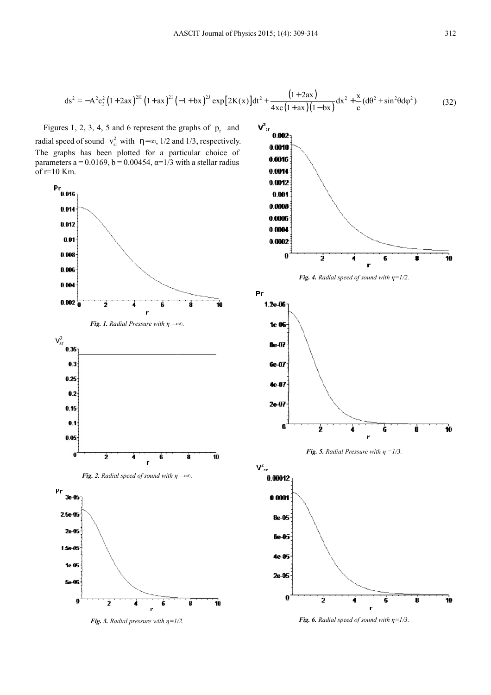$$
ds^{2} = -A^{2}c_{3}^{2}(1+2ax)^{2H}(1+ax)^{2I}(-1+bx)^{2J} \exp[2K(x)]dt^{2} + \frac{(1+2ax)}{4xc(1+ax)(1-bx)}dx^{2} + \frac{x}{c}(d\theta^{2} + \sin^{2}\theta d\phi^{2})
$$
(32)

Figures 1, 2, 3, 4, 5 and 6 represent the graphs of  $p_r$  and radial speed of sound  $v_{sr}^2$  with  $\eta = \infty$ , 1/2 and 1/3, respectively. The graphs has been plotted for a particular choice of parameters  $a = 0.0169$ ,  $b = 0.00454$ ,  $\alpha = 1/3$  with a stellar radius  $of r=10$  Km.



*<i>Fig.* 3. Radial pressure with  $\eta = I/2$ .









*Fig.* 6. *Radial speed of sound with*  $\eta = 1/3$ .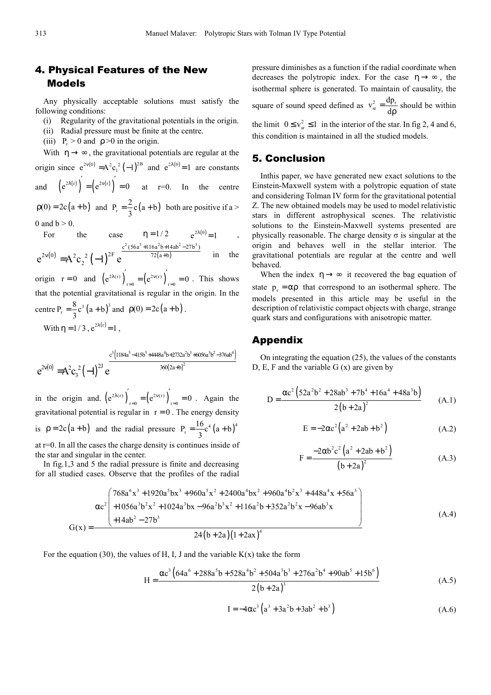## 4. Physical Features of the New Models

Any physically acceptable solutions must satisfy the following conditions:

- (i) Regularity of the gravitational potentials in the origin.
- (ii) Radial pressure must be finite at the centre.
- (iii)  $P_0 > 0$  and  $\rho > 0$  in the origin.

With  $\eta \rightarrow \infty$ , the gravitational potentials are regular at the origin since  $e^{2v(0)} = A^2 c_1^2 (-1)^{2B}$  and  $e^{2\lambda(0)} = 1$  are constants and  $(e^{2\lambda(r)})' = (e^{2\nu(r)})' = 0$  at r=0. In the centre

 $p(0) = 2c(a+b)$  and  $P_r = \frac{2}{3}c(a+b)$  both are positive if a > 0 and  $b > 0$ .

For the case 
$$
\eta = 1/2
$$
  $e^{2\lambda(0)} = 1$ ,  
\n $e^{2\nu(0)} = A^2 c_2^2 (-1)^{2F} e^{\frac{c^2 (56a^3 + 116a^2b + 14ab^2 - 27b^3)}{72(a+b)}}$  in the

 $e^{2v(0)} = A^2 c_2^2 (-1)^{2F} e^{-72(a+1)}$ origin  $r = 0$  and  $(e^{2\lambda(r)})_{r=0} = (e^{2\nu(r)})_{r=0} = 0$  $\int_{0}^{1}$  =  $(e^{2v(r)})' = 0$ . This shows that the potential gravitational is regular in the origin. In the centre P<sub>r</sub> =  $\frac{8}{3}$ c<sup>3</sup> (a + b)<sup>3</sup> and  $\rho(0) = 2c(a + b)$ .

$$
3
$$
  
With  $\eta = 1/3$ ,  $e^{2\lambda(r)} = 1$ ,

$$
e^{2v(0)}=\!A^2c_3^{\;2}\bigl(-1\bigr)^{2J}\,e^{\frac{c^3\left(1184a^5-415b^5+4448a^4b+2732a^2b^3+6056a^3b^2-376ab^4\right)}{360\left(2a+b\right)^2}}
$$

in the origin and.  $(e^{2\lambda(r)})_{r=0} = (e^{2\nu(r)})_{r=0} = 0$  $\left( e^{2v(r)} \right)^{\prime} = 0$ . Again the gravitational potential is regular in  $r = 0$ . The energy density is  $p = 2c(a+b)$  and the radial pressure  $P_r = \frac{16}{3}c^4(a+b)^4$ at r=0. In all the cases the charge density is continues inside of

the star and singular in the center.

In fig.1,3 and 5 the radial pressure is finite and decreasing for all studied cases. Observe that the profiles of the radial

pressure diminishes as a function if the radial coordinate when  
decreases the polytropic index. For the case 
$$
\eta \rightarrow \infty
$$
, the  
isothermal sphere is generated. To maintain of causality, the  
square of sound speed defined as  $v_{sr}^2 = \frac{dp_r}{dp}$  should be within

the limit  $0 \le v_{sr}^2 \le 1$  in the interior of the star. In fig 2, 4 and 6, this condition is maintained in all the studied models.

## 5. Conclusion

Inthis paper, we have generated new exact solutions to the Einstein-Maxwell system with a polytropic equation of state and considering Tolman IV form for the gravitational potential Z. The new obtained models may be used to model relativistic stars in different astrophysical scenes. The relativistic solutions to the Einstein-Maxwell systems presented are physically reasonable. The charge density  $\sigma$  is singular at the origin and behaves well in the stellar interior. The gravitational potentials are regular at the centre and well behaved.

When the index  $\eta \rightarrow \infty$  it recovered the bag equation of state  $p_r = \alpha \rho$  that correspond to an isothermal sphere. The models presented in this article may be useful in the description of relativistic compact objects with charge, strange quark stars and configurations with anisotropic matter.

#### Appendix

On integrating the equation (25), the values of the constants D, E, F and the variable  $G(x)$  are given by

$$
D = \frac{\alpha c^2 (52a^2b^2 + 28ab^3 + 7b^4 + 16a^4 + 48a^3b)}{2(b+2a)^2}
$$
 (A.1)

$$
E = -2\alpha c^2 (a^2 + 2ab + b^2)
$$
 (A.2)

$$
F = \frac{-2\alpha b^2 c^2 (a^2 + 2ab + b^2)}{(b + 2a)^2}
$$
 (A.3)

$$
G(x) = \frac{\alpha^{2}\left(\frac{768a^{6}x^{3} + 1920a^{5}bx^{3} + 960a^{5}x^{2} + 2400a^{4}bx^{2} + 960a^{4}b^{2}x^{3} + 448a^{4}x + 56a^{3}b^{2} + 1056a^{3}b^{2}x^{2} + 1024a^{3}bx - 96a^{2}b^{3}x^{2} + 116a^{2}b + 352a^{2}b^{2}x - 96ab^{3}x}{24(b+2a)(1+2ax)^{4}}\right)}{(A.4)}
$$

For the equation (30), the values of H, I, J and the variable  $K(x)$  take the form

$$
H = \frac{\alpha c^3 \left(64a^6 + 288a^5b + 528a^4b^2 + 504a^3b^3 + 276a^2b^4 + 90ab^5 + 15b^6\right)}{2(b+2a)^3}
$$
(A.5)

$$
I = -4\alpha c^3 \left( a^3 + 3a^2 b + 3ab^2 + b^3 \right)
$$
 (A.6)